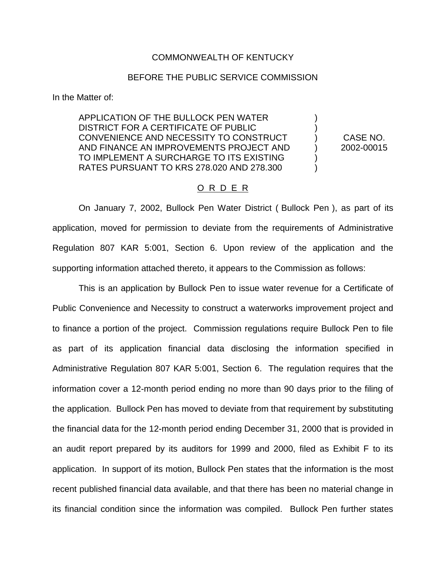## COMMONWEALTH OF KENTUCKY

## BEFORE THE PUBLIC SERVICE COMMISSION

In the Matter of:

APPLICATION OF THE BULLOCK PEN WATER ) DISTRICT FOR A CERTIFICATE OF PUBLIC ) CONVENIENCE AND NECESSITY TO CONSTRUCT ) CASE NO. AND FINANCE AN IMPROVEMENTS PROJECT AND (2002-00015) TO IMPLEMENT A SURCHARGE TO ITS EXISTING RATES PURSUANT TO KRS 278.020 AND 278.300 )

## O R D E R

On January 7, 2002, Bullock Pen Water District ( Bullock Pen ), as part of its application, moved for permission to deviate from the requirements of Administrative Regulation 807 KAR 5:001, Section 6. Upon review of the application and the supporting information attached thereto, it appears to the Commission as follows:

This is an application by Bullock Pen to issue water revenue for a Certificate of Public Convenience and Necessity to construct a waterworks improvement project and to finance a portion of the project. Commission regulations require Bullock Pen to file as part of its application financial data disclosing the information specified in Administrative Regulation 807 KAR 5:001, Section 6. The regulation requires that the information cover a 12-month period ending no more than 90 days prior to the filing of the application. Bullock Pen has moved to deviate from that requirement by substituting the financial data for the 12-month period ending December 31, 2000 that is provided in an audit report prepared by its auditors for 1999 and 2000, filed as Exhibit F to its application. In support of its motion, Bullock Pen states that the information is the most recent published financial data available, and that there has been no material change in its financial condition since the information was compiled. Bullock Pen further states